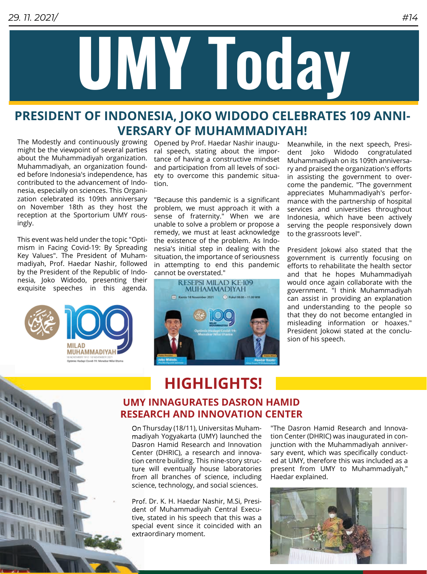

### **PRESIDENT OF INDONESIA, JOKO WIDODO CELEBRATES 109 ANNI-VERSARY OF MUHAMMADIYAH!**

The Modestly and continuously growing Opened by Prof. Haedar Nashir inaugumight be the viewpoint of several parties about the Muhammadiyah organization. Muhammadiyah, an organization founded before Indonesia's independence, has contributed to the advancement of Indonesia, especially on sciences. This Organization celebrated its 109th anniversary on November 18th as they host the reception at the Sportorium UMY rousingly.

This event was held under the topic "Optimism in Facing Covid-19: By Spreading Key Values". The President of Muhammadiyah, Prof. Haedar Nashir, followed by the President of the Republic of Indonesia, Joko Widodo, presenting their exquisite speeches in this agenda.



E.

E h

ral speech, stating about the importance of having a constructive mindset and participation from all levels of society to overcome this pandemic situation.

"Because this pandemic is a significant problem, we must approach it with a sense of fraternity." When we are unable to solve a problem or propose a remedy, we must at least acknowledge the existence of the problem. As Indonesia's initial step in dealing with the situation, the importance of seriousness in attempting to end this pandemic cannot be overstated."



Meanwhile, in the next speech, President Joko Widodo congratulated Muhammadiyah on its 109th anniversary and praised the organization's efforts in assisting the government to overcome the pandemic. "The government appreciates Muhammadiyah's performance with the partnership of hospital services and universities throughout Indonesia, which have been actively serving the people responsively down to the grassroots level".

President Jokowi also stated that the government is currently focusing on efforts to rehabilitate the health sector and that he hopes Muhammadiyah would once again collaborate with the government. "I think Muhammadiyah can assist in providing an explanation and understanding to the people so that they do not become entangled in misleading information or hoaxes." President Jokowi stated at the conclusion of his speech.

## **HIGHLIGHTS!**

#### **UMY INNAGURATES DASRON HAMID RESEARCH AND INNOVATION CENTER RESEARCH**

On Thursday (18/11), Universitas Muham-Muham madiyah Yogyakarta (UMY) launched the Dasron Hamid Research and Innovation Center (DHRIC), a research and innovation centre building. This nine-story struc-struc ture will eventually house laboratories from all branches of science, including science, technology, and social sciences.

Prof. Dr. K. H. Haedar Nashir, M.Si, Presi-Presi dent of Muhammadiyah Central Execu-Execu tive, stated in his speech that this was a special event since it coincided with an extraordinary moment.

"The Dasron Hamid Research and Innovation Center (DHRIC) was inaugurated in conjunction with the Muhammadiyah anniversary event, which was specifically conducted at UMY, therefore this was included as a present from UMY to Muhammadiyah," Haedar explained.